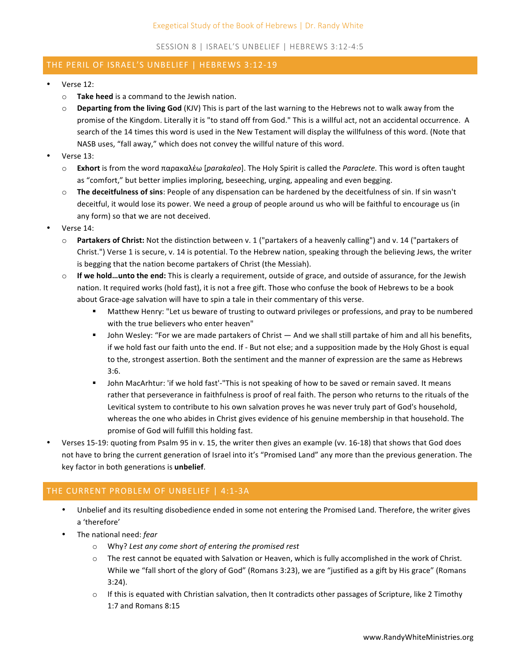SESSION 8 | ISRAEL'S UNBELIEF | HEBREWS 3:12-4:5

## THE PERIL OF ISRAEL'S UNBELIEF | HEBREWS 3:12-19

- Verse 12:
	- $\circ$  **Take heed** is a command to the Jewish nation.
	- $\circ$  **Departing from the living God** (KJV) This is part of the last warning to the Hebrews not to walk away from the promise of the Kingdom. Literally it is "to stand off from God." This is a willful act, not an accidental occurrence. A search of the 14 times this word is used in the New Testament will display the willfulness of this word. (Note that NASB uses, "fall away," which does not convey the willful nature of this word.
- Verse 13:
	- o **Exhort** is from the word παρακαλέω [*parakaleo*]. The Holy Spirit is called the *Paraclete*. This word is often taught as "comfort," but better implies imploring, beseeching, urging, appealing and even begging.
	- $\circ$  **The deceitfulness of sins**: People of any dispensation can be hardened by the deceitfulness of sin. If sin wasn't deceitful, it would lose its power. We need a group of people around us who will be faithful to encourage us (in any form) so that we are not deceived.
- Verse 14:
	- o **Partakers of Christ:** Not the distinction between v. 1 ("partakers of a heavenly calling") and v. 14 ("partakers of Christ.") Verse 1 is secure, v. 14 is potential. To the Hebrew nation, speaking through the believing Jews, the writer is begging that the nation become partakers of Christ (the Messiah).
	- $\circ$  **If we hold...unto the end:** This is clearly a requirement, outside of grace, and outside of assurance, for the Jewish nation. It required works (hold fast), it is not a free gift. Those who confuse the book of Hebrews to be a book about Grace-age salvation will have to spin a tale in their commentary of this verse.
		- Matthew Henry: "Let us beware of trusting to outward privileges or professions, and pray to be numbered with the true believers who enter heaven"
		- John Wesley: "For we are made partakers of Christ And we shall still partake of him and all his benefits, if we hold fast our faith unto the end. If - But not else; and a supposition made by the Holy Ghost is equal to the, strongest assertion. Both the sentiment and the manner of expression are the same as Hebrews 3:6.
		- John MacArhtur: 'if we hold fast'-"This is not speaking of how to be saved or remain saved. It means rather that perseverance in faithfulness is proof of real faith. The person who returns to the rituals of the Levitical system to contribute to his own salvation proves he was never truly part of God's household, whereas the one who abides in Christ gives evidence of his genuine membership in that household. The promise of God will fulfill this holding fast.
- Verses 15-19: quoting from Psalm 95 in v. 15, the writer then gives an example (vv. 16-18) that shows that God does not have to bring the current generation of Israel into it's "Promised Land" any more than the previous generation. The key factor in both generations is **unbelief**.

## THE CURRENT PROBLEM OF UNBELIEF | 4:1-3A

- Unbelief and its resulting disobedience ended in some not entering the Promised Land. Therefore, the writer gives a 'therefore'
- The national need: *fear* 
	- o Why? *Lest any come short of entering the promised rest*
	- $\circ$  The rest cannot be equated with Salvation or Heaven, which is fully accomplished in the work of Christ. While we "fall short of the glory of God" (Romans 3:23), we are "justified as a gift by His grace" (Romans 3:24).
	- $\circ$  If this is equated with Christian salvation, then It contradicts other passages of Scripture, like 2 Timothy 1:7 and Romans 8:15